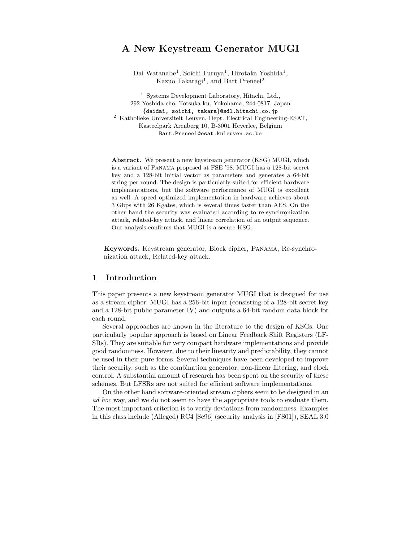# A New Keystream Generator MUGI

Dai Watanabe<sup>1</sup>, Soichi Furuya<sup>1</sup>, Hirotaka Yoshida<sup>1</sup>, Kazuo Takaragi<sup>1</sup>, and Bart Preneel<sup>2</sup>

<sup>1</sup> Systems Development Laboratory, Hitachi, Ltd., 292 Yoshida-cho, Totsuka-ku, Yokohama, 244-0817, Japan {daidai, soichi, takara}@sdl.hitachi.co.jp  $^{\rm 2}$ Katholieke Universiteit Leuven, Dept. Electrical Engineering-ESAT, Kasteelpark Arenberg 10, B-3001 Heverlee, Belgium Bart.Preneel@esat.kuleuven.ac.be

Abstract. We present a new keystream generator (KSG) MUGI, which is a variant of Panama proposed at FSE '98. MUGI has a 128-bit secret key and a 128-bit initial vector as parameters and generates a 64-bit string per round. The design is particularly suited for efficient hardware implementations, but the software performance of MUGI is excellent as well. A speed optimized implementation in hardware achieves about 3 Gbps with 26 Kgates, which is several times faster than AES. On the other hand the security was evaluated according to re-synchronization attack, related-key attack, and linear correlation of an output sequence. Our analysis confirms that MUGI is a secure KSG.

Keywords. Keystream generator, Block cipher, Panama, Re-synchronization attack, Related-key attack.

## 1 Introduction

This paper presents a new keystream generator MUGI that is designed for use as a stream cipher. MUGI has a 256-bit input (consisting of a 128-bit secret key and a 128-bit public parameter IV) and outputs a 64-bit random data block for each round.

Several approaches are known in the literature to the design of KSGs. One particularly popular approach is based on Linear Feedback Shift Registers (LF-SRs). They are suitable for very compact hardware implementations and provide good randomness. However, due to their linearity and predictability, they cannot be used in their pure forms. Several techniques have been developed to improve their security, such as the combination generator, non-linear filtering, and clock control. A substantial amount of research has been spent on the security of these schemes. But LFSRs are not suited for efficient software implementations.

On the other hand software-oriented stream ciphers seem to be designed in an ad hoc way, and we do not seem to have the appropriate tools to evaluate them. The most important criterion is to verify deviations from randomness. Examples in this class include (Alleged) RC4 [Sc96] (security analysis in [FS01]), SEAL 3.0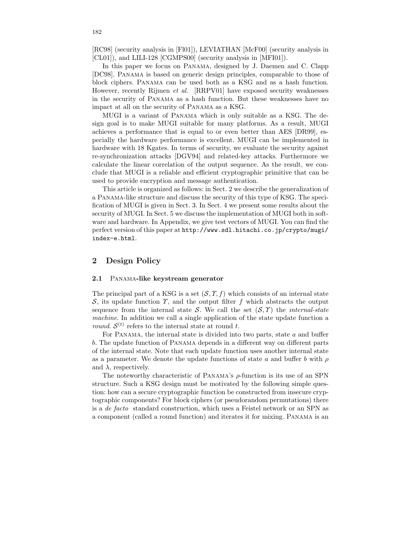[RC98] (security analysis in [Fl01]), LEVIATHAN [McF00] (security analysis in [CL01]), and LILI-128 [CGMPS00] (security analysis in [MFI01]).

In this paper we focus on Panama, designed by J. Daemen and C. Clapp [DC98]. Panama is based on generic design principles, comparable to those of block ciphers. Panama can be used both as a KSG and as a hash function. However, recently Rijmen et al. [RRPV01] have exposed security weaknesses in the security of Panama as a hash function. But these weaknesses have no impact at all on the security of Panama as a KSG.

MUGI is a variant of Panama which is only suitable as a KSG. The design goal is to make MUGI suitable for many platforms. As a result, MUGI achieves a performance that is equal to or even better than AES [DR99], especially the hardware performance is excellent. MUGI can be implemented in hardware with 18 Kgates. In terms of security, we evaluate the security against re-synchronization attacks [DGV94] and related-key attacks. Furthermore we calculate the linear correlation of the output sequence. As the result, we conclude that MUGI is a reliable and efficient cryptographic primitive that can be used to provide encryption and message authentication.

This article is organized as follows: in Sect. 2 we describe the generalization of a Panama-like structure and discuss the security of this type of KSG. The specification of MUGI is given in Sect. 3. In Sect. 4 we present some results about the security of MUGI. In Sect. 5 we discuss the implementation of MUGI both in software and hardware. In Appendix, we give test vectors of MUGI. You can find the perfect version of this paper at http://www.sdl.hitachi.co.jp/crypto/mugi/ index-e.html.

## 2 Design Policy

### 2.1 Panama-like keystream generator

The principal part of a KSG is a set  $(S, \Upsilon, f)$  which consists of an internal state S, its update function  $\gamma$ , and the output filter f which abstracts the output sequence from the internal state S. We call the set  $(S, \Upsilon)$  the *internal-state* machine. In addition we call a single application of the state update function a *round.*  $S^{(t)}$  refers to the internal state at round t.

For PANAMA, the internal state is divided into two parts, state  $a$  and buffer b. The update function of Panama depends in a different way on different parts of the internal state. Note that each update function uses another internal state as a parameter. We denote the update functions of state a and buffer b with  $\rho$ and  $\lambda$ , respectively.

The noteworthy characteristic of PANAMA's  $\rho$ -function is its use of an SPN structure. Such a KSG design must be motivated by the following simple question: how can a secure cryptographic function be constructed from insecure cryptographic components? For block ciphers (or pseudorandom permutations) there is a de facto standard construction, which uses a Feistel network or an SPN as a component (called a round function) and iterates it for mixing. Panama is an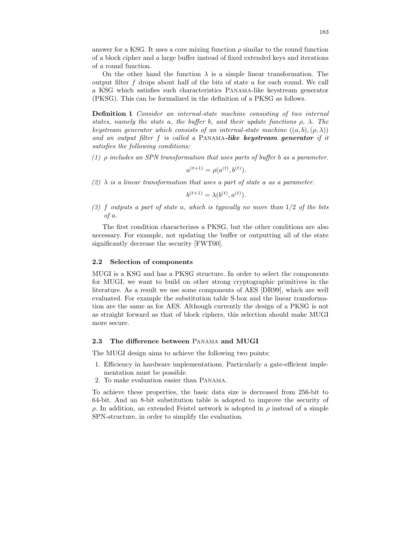answer for a KSG. It uses a core mixing function  $\rho$  similar to the round function of a block cipher and a large buffer instead of fixed extended keys and iterations of a round function.

On the other hand the function  $\lambda$  is a simple linear transformation. The output filter  $f$  drops about half of the bits of state  $a$  for each round. We call a KSG which satisfies such characteristics Panama-like keystream generator (PKSG). This can be formalized in the definition of a PKSG as follows.

Definition 1 Consider an internal-state machine consisting of two internal states, namely the state a, the buffer b, and their update functions  $\rho$ ,  $\lambda$ . The keystream generator which consists of an internal-state machine  $((a, b), (\rho, \lambda))$ and an output filter  $f$  is called a PANAMA-like keystream generator if it satisfies the following conditions:

(1)  $\rho$  includes an SPN transformation that uses parts of buffer b as a parameter.

$$
a^{(t+1)} = \rho(a^{(t)}, b^{(t)}).
$$

(2)  $\lambda$  is a linear transformation that uses a part of state a as a parameter.

$$
b^{(t+1)} = \lambda(b^{(t)}, a^{(t)}).
$$

(3) f outputs a part of state a, which is typically no more than  $1/2$  of the bits of a.

The first condition characterizes a PKSG, but the other conditions are also necessary. For example, not updating the buffer or outputting all of the state significantly decrease the security [FWT00].

### 2.2 Selection of components

MUGI is a KSG and has a PKSG structure. In order to select the components for MUGI, we want to build on other strong cryptographic primitives in the literature. As a result we use some components of AES [DR99], which are well evaluated. For example the substitution table S-box and the linear transformation are the same as for AES. Although currently the design of a PKSG is not as straight forward as that of block ciphers, this selection should make MUGI more secure.

### 2.3 The difference between Panama and MUGI

The MUGI design aims to achieve the following two points:

- 1. Efficiency in hardware implementations. Particularly a gate-efficient implementation must be possible.
- 2. To make evaluation easier than Panama.

To achieve these properties, the basic data size is decreased from 256-bit to 64-bit. And an 8-bit substitution table is adopted to improve the security of ρ. In addition, an extended Feistel network is adopted in ρ instead of a simple SPN-structure, in order to simplify the evaluation.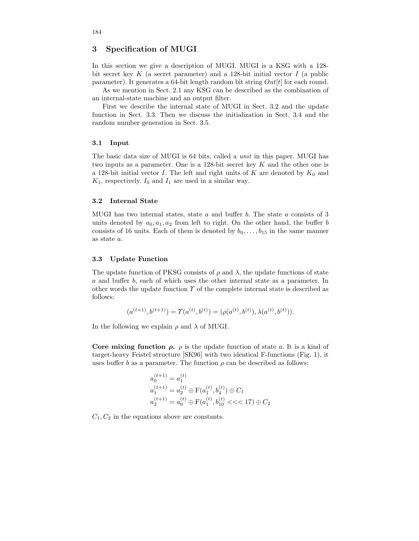## 3 Specification of MUGI

In this section we give a description of MUGI. MUGI is a KSG with a 128 bit secret key  $K$  (a secret parameter) and a 128-bit initial vector  $I$  (a public parameter). It generates a 64-bit length random bit string  $Out[t]$  for each round.

As we mention in Sect. 2.1 any KSG can be described as the combination of an internal-state machine and an output filter.

First we describe the internal state of MUGI in Sect. 3.2 and the update function in Sect. 3.3. Then we discuss the initialization in Sect. 3.4 and the random number generation in Sect. 3.5.

### 3.1 Input

The basic data size of MUGI is 64 bits, called a unit in this paper. MUGI has two inputs as a parameter. One is a 128-bit secret key  $K$  and the other one is a 128-bit initial vector I. The left and right units of K are denoted by  $K_0$  and  $K_1$ , respectively.  $I_0$  and  $I_1$  are used in a similar way.

### 3.2 Internal State

MUGI has two internal states, state  $a$  and buffer  $b$ . The state  $a$  consists of 3 units denoted by  $a_0, a_1, a_2$  from left to right. On the other hand, the buffer b consists of 16 units. Each of them is denoted by  $b_0, \ldots, b_{15}$  in the same manner as state a.

### 3.3 Update Function

The update function of PKSG consists of  $\rho$  and  $\lambda$ , the update functions of state a and buffer b, each of which uses the other internal state as a parameter. In other words the update function  $\gamma$  of the complete internal state is described as follows:

$$
(a^{(t+1)}, b^{(t+1)}) = \Upsilon(a^{(t)}, b^{(t)}) = (\rho(a^{(t)}, b^{(t)}), \lambda(a^{(t)}, b^{(t)})).
$$

In the following we explain  $\rho$  and  $\lambda$  of MUGI.

Core mixing function  $\rho$ .  $\rho$  is the update function of state a. It is a kind of target-heavy Feistel structure [SK96] with two identical F-functions (Fig. 1), it uses buffer b as a parameter. The function  $\rho$  can be described as follows:

$$
a_0^{(t+1)} = a_1^{(t)}
$$
  
\n
$$
a_1^{(t+1)} = a_2^{(t)} \oplus F(a_1^{(t)}, b_4^{(t)}) \oplus C_1
$$
  
\n
$$
a_2^{(t+1)} = a_0^{(t)} \oplus F(a_1^{(t)}, b_{10}^{(t)} \le \lt 17) \oplus C_2
$$

 $C_1, C_2$  in the equations above are constants.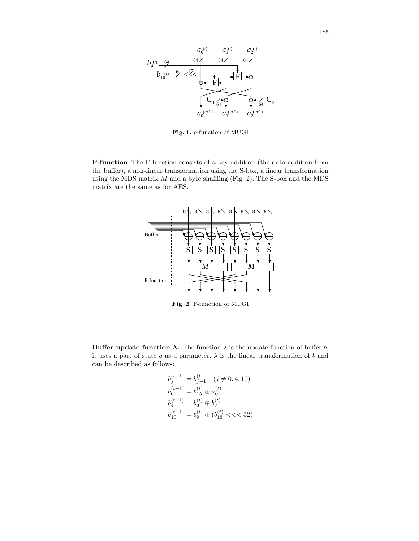

Fig. 1.  $\rho$ -function of MUGI

F-function The F-function consists of a key addition (the data addition from the buffer), a non-linear transformation using the S-box, a linear transformation using the MDS matrix  $M$  and a byte shuffling (Fig. 2). The S-box and the MDS matrix are the same as for AES.



Fig. 2. F-function of MUGI

**Buffer update function**  $\lambda$ **.** The function  $\lambda$  is the update function of buffer b, it uses a part of state a as a parameter.  $\lambda$  is the linear transformation of b and can be described as follows:

$$
\begin{aligned} b_j^{(t+1)} &= b_{j-1}^{(t)} \quad (j \neq 0, 4, 10) \\ b_0^{(t+1)} &= b_{15}^{(t)} \oplus a_0^{(t)} \\ b_4^{(t+1)} &= b_3^{(t)} \oplus b_7^{(t)} \\ b_{10}^{(t+1)} &= b_9^{(t)} \oplus (b_{13}^{(t)} << 32) \end{aligned}
$$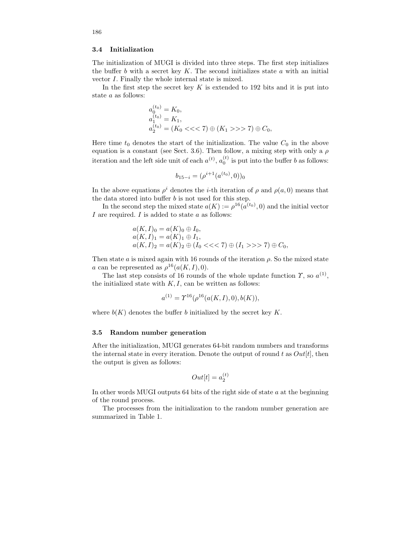#### 3.4 Initialization

The initialization of MUGI is divided into three steps. The first step initializes the buffer  $b$  with a secret key  $K$ . The second initializes state  $a$  with an initial vector I. Finally the whole internal state is mixed.

In the first step the secret key  $K$  is extended to 192 bits and it is put into state a as follows:

$$
a_0^{(t_0)} = K_0,
$$
  
\n
$$
a_1^{(t_0)} = K_1,
$$
  
\n
$$
a_2^{(t_0)} = (K_0 \ll \ll 7) \oplus (K_1 \gg \gg 7) \oplus C_0,
$$

Here time  $t_0$  denotes the start of the initialization. The value  $C_0$  in the above equation is a constant (see Sect. 3.6). Then follow, a mixing step with only a  $\rho$ iteration and the left side unit of each  $a^{(t)}$ ,  $a_0^{(t)}$  is put into the buffer b as follows:

$$
b_{15-i} = (\rho^{i+1}(a^{(t_0)}, 0))_0
$$

In the above equations  $\rho^i$  denotes the *i*-th iteration of  $\rho$  and  $\rho(a, 0)$  means that the data stored into buffer  $b$  is not used for this step.

In the second step the mixed state  $a(K) := \rho^{16}(a^{(t_0)}, 0)$  and the initial vector I are required. I is added to state  $a$  as follows:

$$
a(K, I)0 = a(K)0 \oplus I0,\n a(K, I)1 = a(K)1 \oplus I1,\n a(K, I)2 = a(K)2 \oplus (I0 << 7) \oplus (I1 >> 7) \oplus C0,
$$

Then state  $a$  is mixed again with 16 rounds of the iteration  $\rho$ . So the mixed state a can be represented as  $\rho^{16}(a(K,I),0)$ .

The last step consists of 16 rounds of the whole update function  $\gamma$ , so  $a^{(1)}$ , the initialized state with  $K, I$ , can be written as follows:

$$
a^{(1)} = \Upsilon^{16}(\rho^{16}(a(K,I),0),b(K)),
$$

where  $b(K)$  denotes the buffer b initialized by the secret key K.

#### 3.5 Random number generation

After the initialization, MUGI generates 64-bit random numbers and transforms the internal state in every iteration. Denote the output of round t as  $Out[t]$ , then the output is given as follows:

$$
Out[t] = a_2^{(t)}
$$

In other words MUGI outputs 64 bits of the right side of state a at the beginning of the round process.

The processes from the initialization to the random number generation are summarized in Table 1.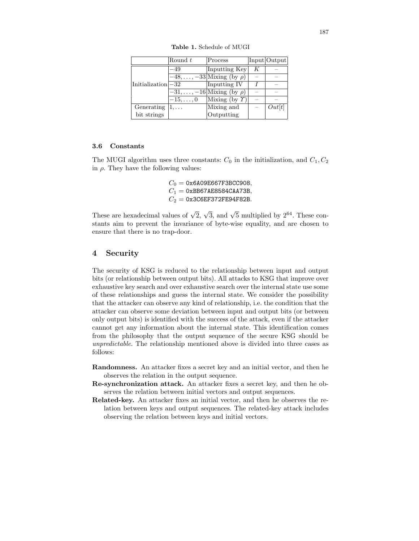|                        | Round t        | Process                              |   | Input Output |
|------------------------|----------------|--------------------------------------|---|--------------|
| $Initialization$ $-32$ | $-49$          | Inputting Key                        | Κ |              |
|                        |                | $-48,\ldots,-33$ Mixing (by $\rho$ ) |   |              |
|                        |                | Inputting IV                         |   |              |
|                        |                | $-31,\ldots,-16$ Mixing (by $\rho$ ) |   |              |
|                        | $-15,\ldots,0$ | Mixing (by $\Upsilon$ )              |   |              |
| Generating             | $1, \ldots$    | Mixing and                           |   | Out[t]       |
| bit strings            |                | Outputting                           |   |              |

Table 1. Schedule of MUGI

### 3.6 Constants

The MUGI algorithm uses three constants:  $C_0$  in the initialization, and  $C_1, C_2$ in  $\rho$ . They have the following values:

> $C_0 = 0x6A09E667F3BCC908,$  $C_1 = 0$ xBB67AE8584CAA73B,  $C_2 = 0x3C6EF372FE94F82B.$

These are hexadecimal values of  $\sqrt{2}$ ,  $\sqrt{3}$ , and  $\sqrt{5}$  multiplied by  $2^{64}$ . These constants aim to prevent the invariance of byte-wise equality, and are chosen to ensure that there is no trap-door.

## 4 Security

The security of KSG is reduced to the relationship between input and output bits (or relationship between output bits). All attacks to KSG that improve over exhaustive key search and over exhaustive search over the internal state use some of these relationships and guess the internal state. We consider the possibility that the attacker can observe any kind of relationship, i.e. the condition that the attacker can observe some deviation between input and output bits (or between only output bits) is identified with the success of the attack, even if the attacker cannot get any information about the internal state. This identification comes from the philosophy that the output sequence of the secure KSG should be unpredictable. The relationship mentioned above is divided into three cases as follows:

- Randomness. An attacker fixes a secret key and an initial vector, and then he observes the relation in the output sequence.
- Re-synchronization attack. An attacker fixes a secret key, and then he observes the relation between initial vectors and output sequences.
- Related-key. An attacker fixes an initial vector, and then he observes the relation between keys and output sequences. The related-key attack includes observing the relation between keys and initial vectors.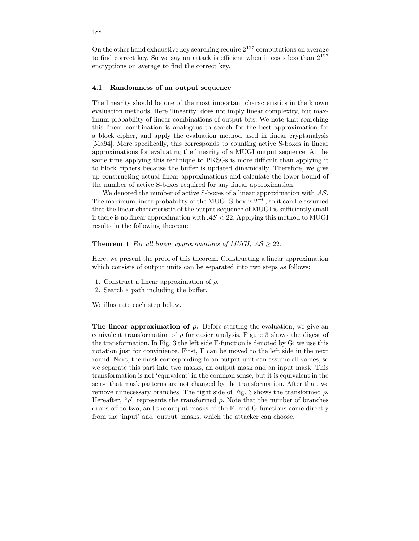On the other hand exhaustive key searching require  $2^{127}$  computations on average to find correct key. So we say an attack is efficient when it costs less than  $2^{127}$ encryptions on average to find the correct key.

#### 4.1 Randomness of an output sequence

The linearity should be one of the most important characteristics in the known evaluation methods. Here 'linearity' does not imply linear complexity, but maximum probability of linear combinations of output bits. We note that searching this linear combination is analogous to search for the best approximation for a block cipher, and apply the evaluation method used in linear cryptanalysis [Ma94]. More specifically, this corresponds to counting active S-boxes in linear approximations for evaluating the linearity of a MUGI output sequence. At the same time applying this technique to PKSGs is more difficult than applying it to block ciphers because the buffer is updated dinamically. Therefore, we give up constructing actual linear approximations and calculate the lower bound of the number of active S-boxes required for any linear approximation.

We denoted the number of active S-boxes of a linear approximation with  $\mathcal{AS}$ . The maximum linear probability of the MUGI S-box is  $2^{-6}$ , so it can be assumed that the linear characteristic of the output sequence of MUGI is sufficiently small if there is no linear approximation with  $\mathcal{AS} < 22$ . Applying this method to MUGI results in the following theorem:

### **Theorem 1** For all linear approximations of MUGI,  $AS \geq 22$ .

Here, we present the proof of this theorem. Constructing a linear approximation which consists of output units can be separated into two steps as follows:

- 1. Construct a linear approximation of  $\rho$ .
- 2. Search a path including the buffer.

We illustrate each step below.

The linear approximation of  $\rho$ . Before starting the evaluation, we give an equivalent transformation of  $\rho$  for easier analysis. Figure 3 shows the digest of the transformation. In Fig. 3 the left side F-function is denoted by G; we use this notation just for convinience. First, F can be moved to the left side in the next round. Next, the mask corresponding to an output unit can assume all values, so we separate this part into two masks, an output mask and an input mask. This transformation is not 'equivalent' in the common sense, but it is equivalent in the sense that mask patterns are not changed by the transformation. After that, we remove unnecessary branches. The right side of Fig. 3 shows the transformed  $\rho$ . Hereafter, " $\rho$ " represents the transformed  $\rho$ . Note that the number of branches drops off to two, and the output masks of the F- and G-functions come directly from the 'input' and 'output' masks, which the attacker can choose.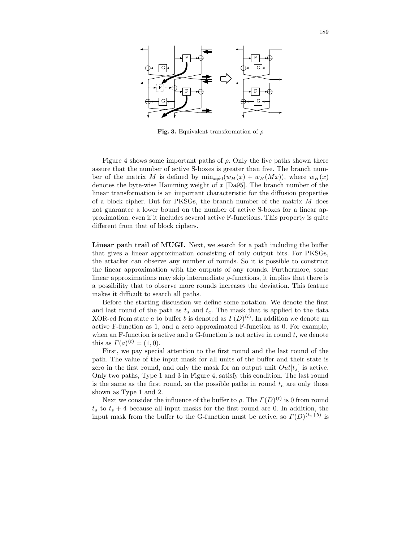

Fig. 3. Equivalent transformation of  $\rho$ 

Figure 4 shows some important paths of  $\rho$ . Only the five paths shown there assure that the number of active S-boxes is greater than five. The branch number of the matrix M is defined by  $\min_{x\neq0}(w_H(x) + w_H(Mx))$ , where  $w_H(x)$ denotes the byte-wise Hamming weight of x [Da95]. The branch number of the linear transformation is an important characteristic for the diffusion properties of a block cipher. But for PKSGs, the branch number of the matrix M does not guarantee a lower bound on the number of active S-boxes for a linear approximation, even if it includes several active F-functions. This property is quite different from that of block ciphers.

Linear path trail of MUGI. Next, we search for a path including the buffer that gives a linear approximation consisting of only output bits. For PKSGs, the attacker can observe any number of rounds. So it is possible to construct the linear approximation with the outputs of any rounds. Furthermore, some linear approximations may skip intermediate  $\rho$ -functions, it implies that there is a possibility that to observe more rounds increases the deviation. This feature makes it difficult to search all paths.

Before the starting discussion we define some notation. We denote the first and last round of the path as  $t_s$  and  $t_e$ . The mask that is applied to the data XOR-ed from state a to buffer b is denoted as  $\Gamma(D)^{(t)}$ . In addition we denote an active F-function as 1, and a zero approximated F-function as 0. For example, when an F-function is active and a G-function is not active in round  $t$ , we denote this as  $\Gamma(a)^{(t)} = (1,0)$ .

First, we pay special attention to the first round and the last round of the path. The value of the input mask for all units of the buffer and their state is zero in the first round, and only the mask for an output unit  $Out[t<sub>s</sub>]$  is active. Only two paths, Type 1 and 3 in Figure 4, satisfy this condition. The last round is the same as the first round, so the possible paths in round  $t_e$  are only those shown as Type 1 and 2.

Next we consider the influence of the buffer to  $\rho$ . The  $\Gamma(D)^{(t)}$  is 0 from round  $t<sub>s</sub>$  to  $t<sub>s</sub> + 4$  because all input masks for the first round are 0. In addition, the input mask from the buffer to the G-function must be active, so  $\Gamma(D)^{(t_s+5)}$  is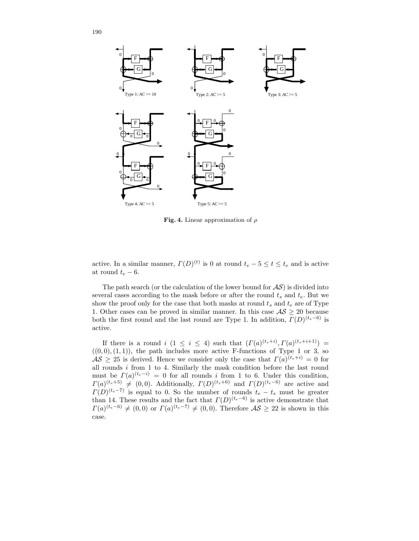

Fig. 4. Linear approximation of  $\rho$ 

active. In a similar manner,  $\Gamma(D)^{(t)}$  is 0 at round  $t_e - 5 \le t \le t_e$  and is active at round  $t_e - 6$ .

The path search (or the calculation of the lower bound for  $\mathcal{AS}$ ) is divided into several cases according to the mask before or after the round  $t_s$  and  $t_e$ . But we show the proof only for the case that both masks at round  $t_s$  and  $t_e$  are of Type 1. Other cases can be proved in similar manner. In this case  $AS \geq 20$  because both the first round and the last round are Type 1. In addition,  $\Gamma(D)^{(t_e-6)}$  is active.

If there is a round  $i$   $(1 \leq i \leq 4)$  such that  $(\Gamma(a)^{(t_s+i)}, \Gamma(a)^{(t_s+i+1)}) =$  $((0, 0), (1, 1))$ , the path includes more active F-functions of Type 1 or 3, so  $\mathcal{AS} \geq 25$  is derived. Hence we consider only the case that  $\Gamma(a)^{(t_s+i)} = 0$  for all rounds i from 1 to 4. Similarly the mask condition before the last round must be  $\Gamma(a)^{(t_e-i)} = 0$  for all rounds i from 1 to 6. Under this condition,  $\Gamma(a)^{(t_s+5)} \neq (0,0)$ . Additionally,  $\Gamma(D)^{(t_s+6)}$  and  $\Gamma(D)^{(t_e-6)}$  are active and  $\Gamma(D)^{(t_e-7)}$  is equal to 0. So the number of rounds  $t_e - t_s$  must be greater than 14. These results and the fact that  $\Gamma(D)^{(t_e-6)}$  is active demonstrate that  $\Gamma(a)^{(t_e-6)} \neq (0,0)$  or  $\Gamma(a)^{(t_e-7)} \neq (0,0)$ . Therefore  $\mathcal{AS} \geq 22$  is shown in this case.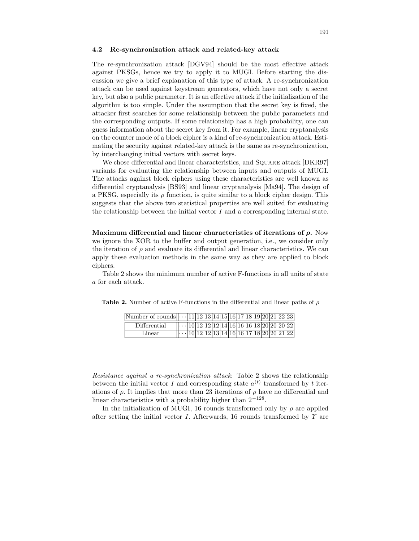#### 4.2 Re-synchronization attack and related-key attack

The re-synchronization attack [DGV94] should be the most effective attack against PKSGs, hence we try to apply it to MUGI. Before starting the discussion we give a brief explanation of this type of attack. A re-synchronization attack can be used against keystream generators, which have not only a secret key, but also a public parameter. It is an effective attack if the initialization of the algorithm is too simple. Under the assumption that the secret key is fixed, the attacker first searches for some relationship between the public parameters and the corresponding outputs. If some relationship has a high probability, one can guess information about the secret key from it. For example, linear cryptanalysis on the counter mode of a block cipher is a kind of re-synchronization attack. Estimating the security against related-key attack is the same as re-synchronization, by interchanging initial vectors with secret keys.

We chose differential and linear characteristics, and SQUARE attack [DKR97] variants for evaluating the relationship between inputs and outputs of MUGI. The attacks against block ciphers using these characteristics are well known as differential cryptanalysis [BS93] and linear cryptanalysis [Ma94]. The design of a PKSG, especially its  $\rho$  function, is quite similar to a block cipher design. This suggests that the above two statistical properties are well suited for evaluating the relationship between the initial vector  $I$  and a corresponding internal state.

Maximum differential and linear characteristics of iterations of  $\rho$ . Now we ignore the XOR to the buffer and output generation, i.e., we consider only the iteration of  $\rho$  and evaluate its differential and linear characteristics. We can apply these evaluation methods in the same way as they are applied to block ciphers.

Table 2 shows the minimum number of active F-functions in all units of state a for each attack.

| Number of rounds $\cdots$ 11 12 13 14 15 16 17 18 19 20 21 22 23 |                                                                                                                                         |  |  |  |  |  |  |  |
|------------------------------------------------------------------|-----------------------------------------------------------------------------------------------------------------------------------------|--|--|--|--|--|--|--|
| Differential                                                     | $\left\vert \cdots \right\vert 10\vert 12\vert 12\vert 12\vert 14\vert 16\vert 16\vert 16\vert 18\vert 20\vert 20\vert 20\vert 22\vert$ |  |  |  |  |  |  |  |
| Linear                                                           | $\left\vert \cdots \right\vert$ 10   12   12   13   14   16   16   17   18   20   20   21   22                                          |  |  |  |  |  |  |  |

Table 2. Number of active F-functions in the differential and linear paths of  $\rho$ 

Resistance against a re-synchronization attack: Table 2 shows the relationship between the initial vector I and corresponding state  $a^{(t)}$  transformed by t iterations of  $\rho$ . It implies that more than 23 iterations of  $\rho$  have no differential and linear characteristics with a probability higher than  $2^{-128}$ .

In the initialization of MUGI, 16 rounds transformed only by  $\rho$  are applied after setting the initial vector I. Afterwards, 16 rounds transformed by  $\gamma$  are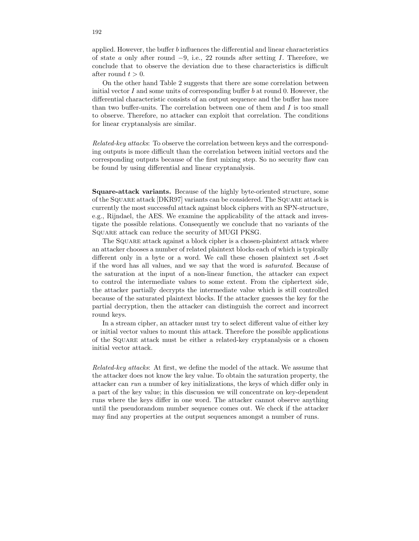applied. However, the buffer b influences the differential and linear characteristics of state a only after round  $-9$ , i.e., 22 rounds after setting I. Therefore, we conclude that to observe the deviation due to these characteristics is difficult after round  $t > 0$ .

On the other hand Table 2 suggests that there are some correlation between initial vector  $I$  and some units of corresponding buffer  $b$  at round 0. However, the differential characteristic consists of an output sequence and the buffer has more than two buffer-units. The correlation between one of them and  $I$  is too small to observe. Therefore, no attacker can exploit that correlation. The conditions for linear cryptanalysis are similar.

Related-key attacks: To observe the correlation between keys and the corresponding outputs is more difficult than the correlation between initial vectors and the corresponding outputs because of the first mixing step. So no security flaw can be found by using differential and linear cryptanalysis.

Square-attack variants. Because of the highly byte-oriented structure, some of the Square attack [DKR97] variants can be considered. The Square attack is currently the most successful attack against block ciphers with an SPN-structure, e.g., Rijndael, the AES. We examine the applicability of the attack and investigate the possible relations. Consequently we conclude that no variants of the Square attack can reduce the security of MUGI PKSG.

The Square attack against a block cipher is a chosen-plaintext attack where an attacker chooses a number of related plaintext blocks each of which is typically different only in a byte or a word. We call these chosen plaintext set  $\Lambda$ -set if the word has all values, and we say that the word is saturated. Because of the saturation at the input of a non-linear function, the attacker can expect to control the intermediate values to some extent. From the ciphertext side, the attacker partially decrypts the intermediate value which is still controlled because of the saturated plaintext blocks. If the attacker guesses the key for the partial decryption, then the attacker can distinguish the correct and incorrect round keys.

In a stream cipher, an attacker must try to select different value of either key or initial vector values to mount this attack. Therefore the possible applications of the Square attack must be either a related-key cryptanalysis or a chosen initial vector attack.

Related-key attacks: At first, we define the model of the attack. We assume that the attacker does not know the key value. To obtain the saturation property, the attacker can run a number of key initializations, the keys of which differ only in a part of the key value; in this discussion we will concentrate on key-dependent runs where the keys differ in one word. The attacker cannot observe anything until the pseudorandom number sequence comes out. We check if the attacker may find any properties at the output sequences amongst a number of runs.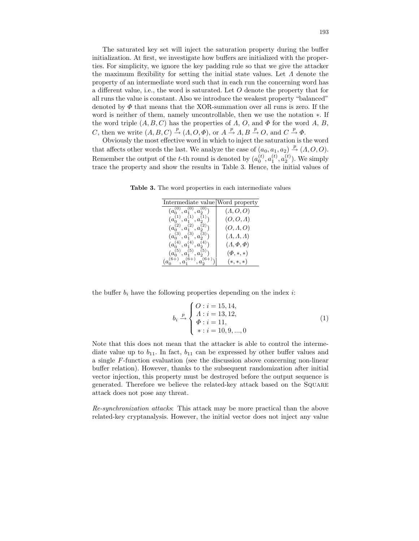The saturated key set will inject the saturation property during the buffer initialization. At first, we investigate how buffers are initialized with the properties. For simplicity, we ignore the key padding rule so that we give the attacker the maximum flexibility for setting the initial state values. Let Λ denote the property of an intermediate word such that in each run the concerning word has a different value, i.e., the word is saturated. Let  $O$  denote the property that for all runs the value is constant. Also we introduce the weakest property "balanced" denoted by  $\Phi$  that means that the XOR-summation over all runs is zero. If the word is neither of them, namely uncontrollable, then we use the notation ∗. If the word triple  $(A, B, C)$  has the properties of  $\Lambda$ ,  $O$ , and  $\Phi$  for the word  $A$ ,  $B$ , C, then we write  $(A, B, C) \stackrel{p}{\rightarrow} (A, O, \Phi)$ , or  $A \stackrel{p}{\rightarrow} A, B \stackrel{p}{\rightarrow} O$ , and  $C \stackrel{p}{\rightarrow} \Phi$ .

Obviously the most effective word in which to inject the saturation is the word that affects other words the last. We analyze the case of  $(a_0, a_1, a_2) \stackrel{p}{\rightarrow} (A, O, O)$ . Remember the output of the *t*-th round is denoted by  $(a_0^{(t)}, a_1^{(t)}, a_2^{(t)})$ . We simply trace the property and show the results in Table 3. Hence, the initial values of

Table 3. The word properties in each intermediate values

| Intermediate value Word property    |                      |
|-------------------------------------|----------------------|
| $(a_0^{(0)}, a_1^{(0)}, a_2^{(0)}$  | (A, O, O)            |
| $(a_0^{(1)}, a_1^{(1)}, a_2^{(1)})$ | $(O, O, \Lambda)$    |
| $(a_0^{(2)}, a_1^{(2)}, a_2^{(2)})$ | $(O, \Lambda, O)$    |
| $(a_0^{(3)}, a_1^{(3)}, a_2^{(3)})$ | (A, A, A)            |
| $(a_0^{(4)}, a_1^{(4)}, a_2^{(4)})$ | $(A, \Phi, \Phi)$    |
| $(a_0^{(5)}, a_1^{(5)}, a_2^{(5)})$ | $(\Phi, \ast, \ast)$ |
|                                     | $*$ , $*$ , $*$      |

the buffer  $b_i$  have the following properties depending on the index i:

$$
b_i \xrightarrow{p} \begin{cases} O: i = 15, 14, \\ A: i = 13, 12, \\ \Phi: i = 11, \\ *: i = 10, 9, ..., 0 \end{cases}
$$
 (1)

Note that this does not mean that the attacker is able to control the intermediate value up to  $b_{11}$ . In fact,  $b_{11}$  can be expressed by other buffer values and a single F-function evaluation (see the discussion above concerning non-linear buffer relation). However, thanks to the subsequent randomization after initial vector injection, this property must be destroyed before the output sequence is generated. Therefore we believe the related-key attack based on the Square attack does not pose any threat.

Re-synchronization attacks: This attack may be more practical than the above related-key cryptanalysis. However, the initial vector does not inject any value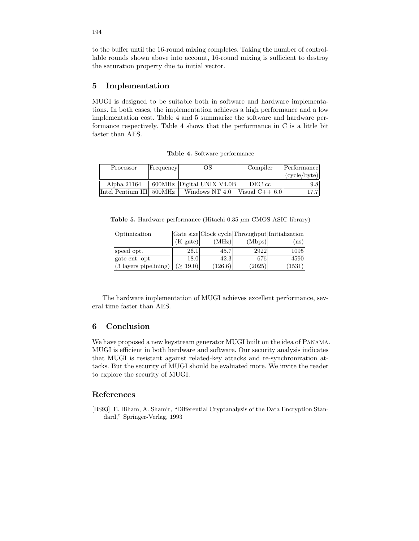to the buffer until the 16-round mixing completes. Taking the number of controllable rounds shown above into account, 16-round mixing is sufficient to destroy the saturation property due to initial vector.

## 5 Implementation

MUGI is designed to be suitable both in software and hardware implementations. In both cases, the implementation achieves a high performance and a low implementation cost. Table 4 and 5 summarize the software and hardware performance respectively. Table 4 shows that the performance in C is a little bit faster than AES.

Table 4. Software performance

| Processor                | Frequency | OS.                       | Compiler        | Performance  |
|--------------------------|-----------|---------------------------|-----------------|--------------|
|                          |           |                           |                 | (cycle/byte) |
| Alpha 21164              |           | 600MHz Digital UNIX V4.0B | DEC cc          | 9.8          |
| Intel Pentium III 500MHz |           | Windows NT 4.0            | Visual $C++6.0$ | 17.7         |

**Table 5.** Hardware performance (Hitachi 0.35  $\mu$ m CMOS ASIC library)

| Optimization                    |          |         |        | Gate size Clock cycle Throughput Initialization |
|---------------------------------|----------|---------|--------|-------------------------------------------------|
|                                 | (K gate) | (MHz)   | (Mbps) | $^{\rm ns}$                                     |
| speed opt.                      | 26.1     | 45.7    | 2922   | 1095                                            |
| gate cnt. opt.                  | 18.0     | 42.3    | 676    | 4590                                            |
| $(3 \text{ layers pipelining})$ | 19.0)    | (126.6) | (2025) | (1531)                                          |

The hardware implementation of MUGI achieves excellent performance, several time faster than AES.

## 6 Conclusion

We have proposed a new keystream generator MUGI built on the idea of Panama. MUGI is efficient in both hardware and software. Our security analysis indicates that MUGI is resistant against related-key attacks and re-synchronization attacks. But the security of MUGI should be evaluated more. We invite the reader to explore the security of MUGI.

## References

[BS93] E. Biham, A. Shamir, "Differential Cryptanalysis of the Data Encryption Standard," Springer-Verlag, 1993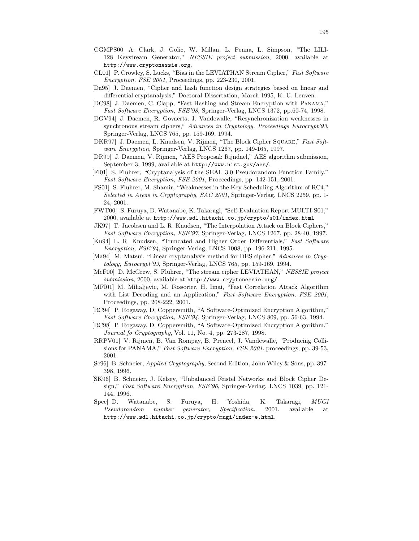- [CGMPS00] A. Clark, J. Golic, W. Millan, L. Penna, L. Simpson, "The LILI-128 Keystream Generator," NESSIE project submission, 2000, available at http://www.cryptonessie.org.
- [CL01] P. Crowley, S. Lucks, "Bias in the LEVIATHAN Stream Cipher," Fast Software Encryption, FSE 2001, Proceedings, pp. 223-230, 2001.
- [Da95] J. Daemen, "Cipher and hash function design strategies based on linear and differential cryptanalysis," Doctoral Dissertation, March 1995, K. U. Leuven.
- [DC98] J. Daemen, C. Clapp, "Fast Hashing and Stream Encryption with Panama," Fast Software Encryption, FSE'98, Springer-Verlag, LNCS 1372, pp.60-74, 1998.
- [DGV94] J. Daemen, R. Govaerts, J. Vandewalle, "Resynchronization weaknesses in synchronous stream ciphers," Advances in Cryptology, Proceedings Eurocrypt'93, Springer-Verlag, LNCS 765, pp. 159-169, 1994.
- [DKR97] J. Daemen, L. Knudsen, V. Rijmen, "The Block Cipher Square," Fast Software Encryption, Springer-Verlag, LNCS 1267, pp. 149-165, 1997.
- [DR99] J. Daemen, V. Rijmen, "AES Proposal: Rijndael," AES algorithm submission, September 3, 1999, available at http://www.nist.gov/aes/.
- [Fl01] S. Fluhrer, "Cryptanalysis of the SEAL 3.0 Pseudorandom Function Family," Fast Software Encryption, FSE 2001, Proceedings, pp. 142-151, 2001.
- [FS01] S. Fluhrer, M. Shamir, "Weaknesses in the Key Scheduling Algorithm of RC4," Selected in Areas in Cryptography, SAC 2001, Springer-Verlag, LNCS 2259, pp. 1- 24, 2001.
- [FWT00] S. Furuya, D. Watanabe, K. Takaragi, "Self-Evaluation Report MULTI-S01," 2000, available at http://www.sdl.hitachi.co.jp/crypto/s01/index.html
- [JK97] T. Jacobsen and L. R. Knudsen, "The Interpolation Attack on Block Ciphers," Fast Software Encryption, FSE'97, Springer-Verlag, LNCS 1267, pp. 28-40, 1997.
- [Ku94] L. R. Knudsen, "Truncated and Higher Order Differentials," Fast Software Encryption, FSE'94, Springer-Verlag, LNCS 1008, pp. 196-211, 1995.
- [Ma94] M. Matsui, "Linear cryptanalysis method for DES cipher," Advances in Cryptology, Eurocrypt'93, Springer-Verlag, LNCS 765, pp. 159-169, 1994.
- [McF00] D. McGrew, S. Fluhrer, "The stream cipher LEVIATHAN," NESSIE project submission, 2000, available at http://www.cryptonessie.org/.
- [MFI01] M. Mihaljevic, M. Fossorier, H. Imai, "Fast Correlation Attack Algorithm with List Decoding and an Application," Fast Software Encryption, FSE 2001, Proceedings, pp. 208-222, 2001.
- [RC94] P. Rogaway, D. Coppersmith, "A Software-Optimized Encryption Algorithm," Fast Software Encryption, FSE'94, Springer-Verlag, LNCS 809, pp. 56-63, 1994.
- [RC98] P. Rogaway, D. Coppersmith, "A Software-Optimized Encryption Algorithm," Journal fo Cryptography, Vol. 11, No. 4, pp. 273-287, 1998.
- [RRPV01] V. Rijmen, B. Van Rompay, B. Preneel, J. Vandewalle, "Producing Collisions for PANAMA," Fast Software Encryption, FSE 2001, proceedings, pp. 39-53, 2001.
- [Sc96] B. Schneier, Applied Cryptography, Second Edition, John Wiley & Sons, pp. 397- 398, 1996.
- [SK96] B. Schneier, J. Kelsey, "Unbalanced Feistel Networks and Block Cipher Design," Fast Software Encryption, FSE'96, Springer-Verlag, LNCS 1039, pp. 121- 144, 1996.
- [Spec] D. Watanabe, S. Furuya, H. Yoshida, K. Takaragi, MUGI Pseudorandom number generator, Specification, 2001, available at http://www.sdl.hitachi.co.jp/crypto/mugi/index-e.html.